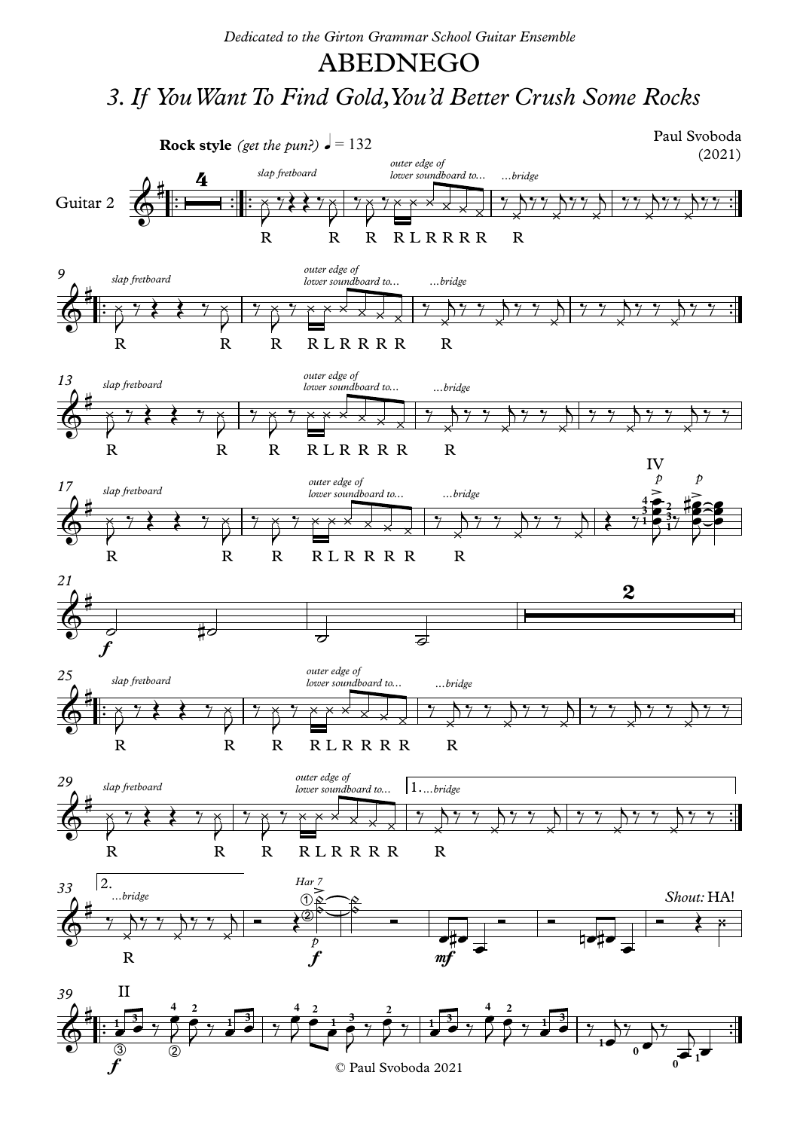## ABEDNEGO

## *3.If YouWantTo Find Gold,You'd Better Crush Some Rocks*



© Paul Svoboda 2021